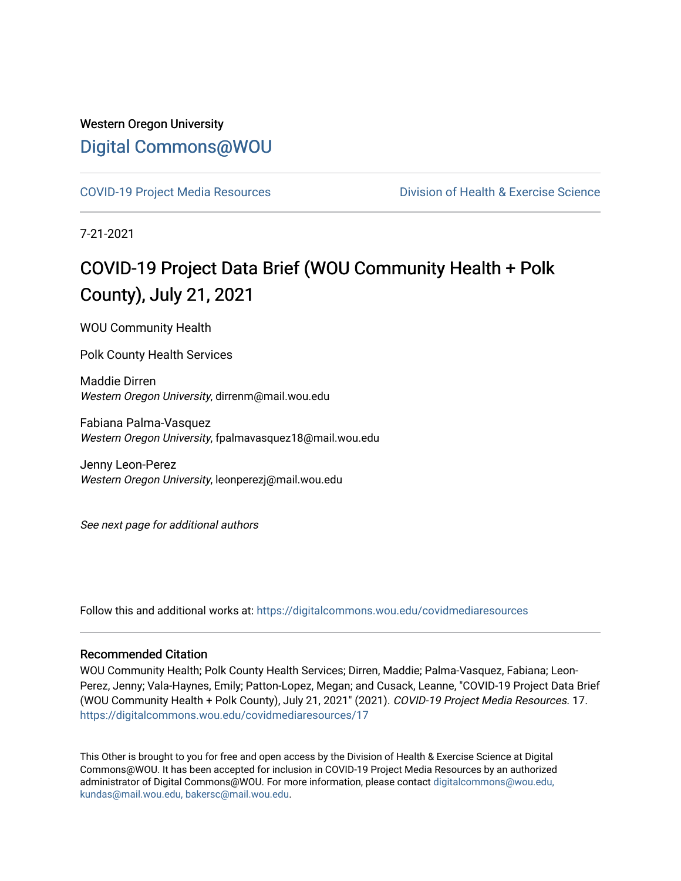## Western Oregon University [Digital Commons@WOU](https://digitalcommons.wou.edu/)

[COVID-19 Project Media Resources](https://digitalcommons.wou.edu/covidmediaresources) [Division of Health & Exercise Science](https://digitalcommons.wou.edu/healthexercise) 

7-21-2021

## COVID-19 Project Data Brief (WOU Community Health + Polk County), July 21, 2021

WOU Community Health

Polk County Health Services

Maddie Dirren Western Oregon University, dirrenm@mail.wou.edu

Fabiana Palma-Vasquez Western Oregon University, fpalmavasquez18@mail.wou.edu

Jenny Leon-Perez Western Oregon University, leonperezj@mail.wou.edu

See next page for additional authors

Follow this and additional works at: [https://digitalcommons.wou.edu/covidmediaresources](https://digitalcommons.wou.edu/covidmediaresources?utm_source=digitalcommons.wou.edu%2Fcovidmediaresources%2F17&utm_medium=PDF&utm_campaign=PDFCoverPages)

#### Recommended Citation

WOU Community Health; Polk County Health Services; Dirren, Maddie; Palma-Vasquez, Fabiana; Leon-Perez, Jenny; Vala-Haynes, Emily; Patton-Lopez, Megan; and Cusack, Leanne, "COVID-19 Project Data Brief (WOU Community Health + Polk County), July 21, 2021" (2021). COVID-19 Project Media Resources. 17. [https://digitalcommons.wou.edu/covidmediaresources/17](https://digitalcommons.wou.edu/covidmediaresources/17?utm_source=digitalcommons.wou.edu%2Fcovidmediaresources%2F17&utm_medium=PDF&utm_campaign=PDFCoverPages) 

This Other is brought to you for free and open access by the Division of Health & Exercise Science at Digital Commons@WOU. It has been accepted for inclusion in COVID-19 Project Media Resources by an authorized administrator of Digital Commons@WOU. For more information, please contact [digitalcommons@wou.edu,](mailto:digitalcommons@wou.edu,%20kundas@mail.wou.edu,%20bakersc@mail.wou.edu)  [kundas@mail.wou.edu, bakersc@mail.wou.edu.](mailto:digitalcommons@wou.edu,%20kundas@mail.wou.edu,%20bakersc@mail.wou.edu)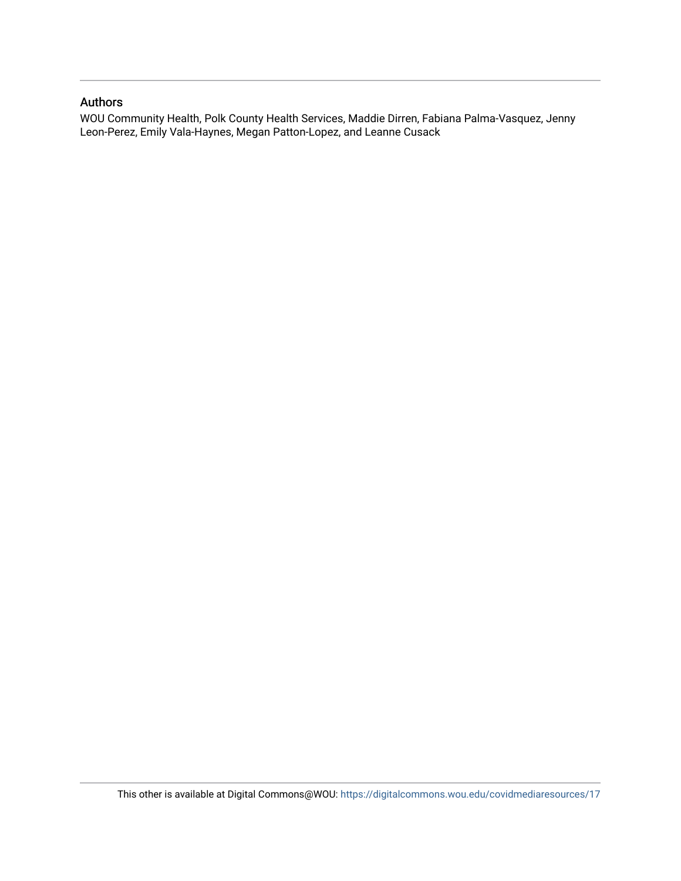#### Authors

WOU Community Health, Polk County Health Services, Maddie Dirren, Fabiana Palma-Vasquez, Jenny Leon-Perez, Emily Vala-Haynes, Megan Patton-Lopez, and Leanne Cusack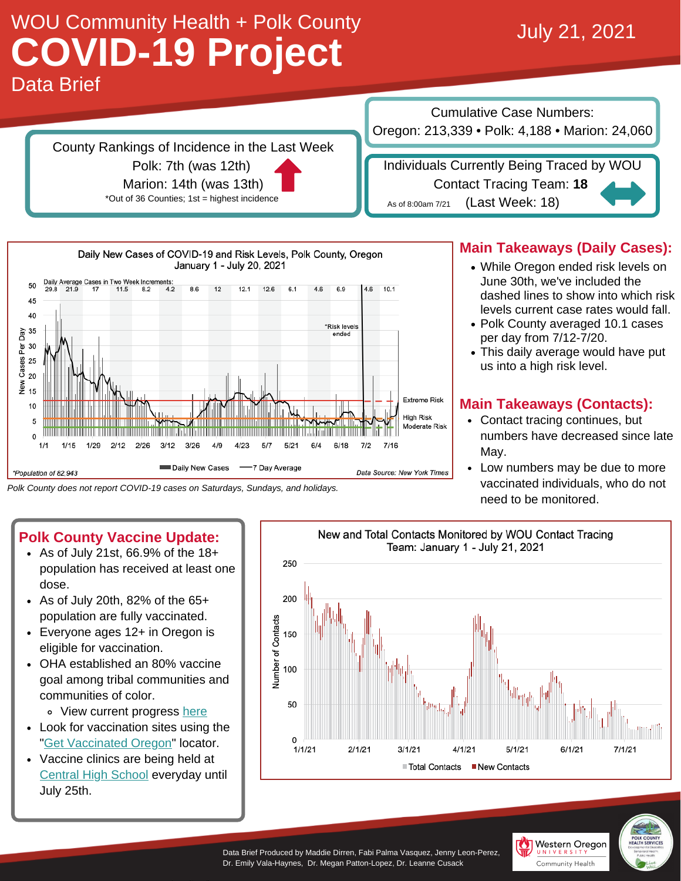# Data Brief WOU Community Health + Polk County WOO COMMUNITY HEATHER POIN COUNTY<br>
COVID-19 Project

County Rankings of Incidence in the Last Week Polk: 7th (was 12th) Marion: 14th (was 13th)

\*Out of 36 Counties; 1st = highest incidence

Cumulative Case Numbers: Oregon: 213,339 • Polk: 4,188 • Marion: 24,060

Individuals Currently Being Traced by WOU Contact Tracing Team: **18** (Last Week: 18) As of 8:00am 7/21



*Polk County does not report COVID-19 cases on Saturdays, Sundays, and holidays.*

## **Polk County Vaccine Update:**

- As of July 21st, 66.9% of the 18+ population has received at least one dose.
- $\cdot$  As of July 20th, 82% of the 65+ population are fully vaccinated.
- Everyone ages 12+ in Oregon is eligible for vaccination.
- OHA established an 80% vaccine goal among tribal communities and communities of color.
	- View current progress [here](https://public.tableau.com/app/profile/oregon.health.authority.covid.19/viz/OregonCOVID-19VaccineEffortMetrics/RaceandEthnicityData)
- Look for vaccination sites using the "Get [Vaccinated](https://getvaccinated.oregon.gov/#/) Oregon" locator.
- Vaccine clinics are being held at [Central](https://drive.google.com/file/d/1YxQVuxtmP6XyXVmMwbT2E1-UntO7sWqX/view?usp=sharing) High School everyday until July 25th.



Western Oregon Community Health

### **Main Takeaways (Daily Cases):**

- While Oregon ended risk levels on June 30th, we've included the dashed lines to show into which risk levels current case rates would fall.
- Polk County averaged 10.1 cases per day from 7/12-7/20.
- This daily average would have put us into a high risk level.

#### **Main Takeaways (Contacts):**

- Contact tracing continues, but numbers have decreased since late May.
- Low numbers may be due to more vaccinated individuals, who do not need to be monitored.

Data Brief Produced by Maddie Dirren, Fabi Palma Vasquez, Jenny Leon-Perez, Dr. Emily Vala-Haynes, Dr. Megan Patton-Lopez, Dr. Leanne Cusack